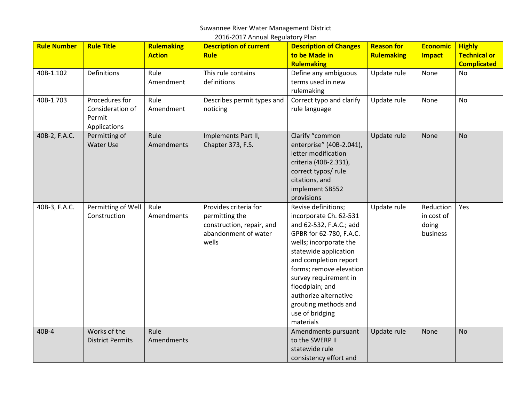#### Suwannee River Water Management District 2016-2017 Annual Regulatory Plan

| <b>Rule Number</b> | <b>Rule Title</b>                                            | <b>Rulemaking</b><br><b>Action</b> | <b>Description of current</b><br><b>Rule</b>                                                          | <b>Description of Changes</b><br>to be Made in                                                                                                                                                                                                                                                                                          | <b>Reason for</b><br><b>Rulemaking</b> | <b>Economic</b><br><b>Impact</b>             | <b>Highly</b><br><b>Technical or</b> |
|--------------------|--------------------------------------------------------------|------------------------------------|-------------------------------------------------------------------------------------------------------|-----------------------------------------------------------------------------------------------------------------------------------------------------------------------------------------------------------------------------------------------------------------------------------------------------------------------------------------|----------------------------------------|----------------------------------------------|--------------------------------------|
|                    |                                                              |                                    |                                                                                                       | <b>Rulemaking</b>                                                                                                                                                                                                                                                                                                                       |                                        |                                              | <b>Complicated</b>                   |
| 40B-1.102          | Definitions                                                  | Rule<br>Amendment                  | This rule contains<br>definitions                                                                     | Define any ambiguous<br>terms used in new<br>rulemaking                                                                                                                                                                                                                                                                                 | Update rule                            | None                                         | No                                   |
| 40B-1.703          | Procedures for<br>Consideration of<br>Permit<br>Applications | Rule<br>Amendment                  | Describes permit types and<br>noticing                                                                | Correct typo and clarify<br>rule language                                                                                                                                                                                                                                                                                               | Update rule                            | None                                         | <b>No</b>                            |
| 40B-2, F.A.C.      | Permitting of<br><b>Water Use</b>                            | Rule<br>Amendments                 | Implements Part II,<br>Chapter 373, F.S.                                                              | Clarify "common<br>enterprise" (40B-2.041),<br>letter modification<br>criteria (40B-2.331),<br>correct typos/ rule<br>citations, and<br>implement SB552<br>provisions                                                                                                                                                                   | Update rule                            | None                                         | <b>No</b>                            |
| 40B-3, F.A.C.      | Permitting of Well<br>Construction                           | Rule<br>Amendments                 | Provides criteria for<br>permitting the<br>construction, repair, and<br>abandonment of water<br>wells | Revise definitions;<br>incorporate Ch. 62-531<br>and 62-532, F.A.C.; add<br>GPBR for 62-780, F.A.C.<br>wells; incorporate the<br>statewide application<br>and completion report<br>forms; remove elevation<br>survey requirement in<br>floodplain; and<br>authorize alternative<br>grouting methods and<br>use of bridging<br>materials | Update rule                            | Reduction<br>in cost of<br>doing<br>business | Yes                                  |
| 40B-4              | Works of the<br><b>District Permits</b>                      | Rule<br>Amendments                 |                                                                                                       | Amendments pursuant<br>to the SWERP II<br>statewide rule<br>consistency effort and                                                                                                                                                                                                                                                      | Update rule                            | None                                         | <b>No</b>                            |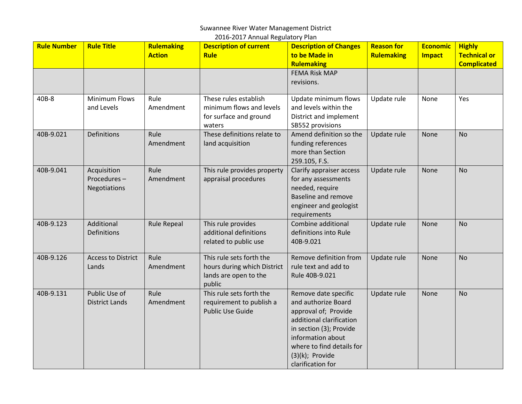|                    |                                            |                                    | 2016-2017 Annual Regulatory Plan                                                           |                                                                                                                                                                                                                         |                                        |                                  |                                                            |
|--------------------|--------------------------------------------|------------------------------------|--------------------------------------------------------------------------------------------|-------------------------------------------------------------------------------------------------------------------------------------------------------------------------------------------------------------------------|----------------------------------------|----------------------------------|------------------------------------------------------------|
| <b>Rule Number</b> | <b>Rule Title</b>                          | <b>Rulemaking</b><br><b>Action</b> | <b>Description of current</b><br><b>Rule</b>                                               | <b>Description of Changes</b><br>to be Made in<br><b>Rulemaking</b>                                                                                                                                                     | <b>Reason for</b><br><b>Rulemaking</b> | <b>Economic</b><br><b>Impact</b> | <b>Highly</b><br><b>Technical or</b><br><b>Complicated</b> |
|                    |                                            |                                    |                                                                                            | <b>FEMA Risk MAP</b><br>revisions.                                                                                                                                                                                      |                                        |                                  |                                                            |
| 40B-8              | <b>Minimum Flows</b><br>and Levels         | Rule<br>Amendment                  | These rules establish<br>minimum flows and levels<br>for surface and ground<br>waters      | Update minimum flows<br>and levels within the<br>District and implement<br>SB552 provisions                                                                                                                             | Update rule                            | None                             | Yes                                                        |
| 40B-9.021          | <b>Definitions</b>                         | Rule<br>Amendment                  | These definitions relate to<br>land acquisition                                            | Amend definition so the<br>funding references<br>more than Section<br>259.105, F.S.                                                                                                                                     | Update rule                            | None                             | <b>No</b>                                                  |
| 40B-9.041          | Acquisition<br>Procedures-<br>Negotiations | Rule<br>Amendment                  | This rule provides property<br>appraisal procedures                                        | Clarify appraiser access<br>for any assessments<br>needed, require<br><b>Baseline and remove</b><br>engineer and geologist<br>requirements                                                                              | Update rule                            | None                             | <b>No</b>                                                  |
| 40B-9.123          | Additional<br><b>Definitions</b>           | <b>Rule Repeal</b>                 | This rule provides<br>additional definitions<br>related to public use                      | Combine additional<br>definitions into Rule<br>40B-9.021                                                                                                                                                                | Update rule                            | None                             | <b>No</b>                                                  |
| 40B-9.126          | <b>Access to District</b><br>Lands         | Rule<br>Amendment                  | This rule sets forth the<br>hours during which District<br>lands are open to the<br>public | Remove definition from<br>rule text and add to<br>Rule 40B-9.021                                                                                                                                                        | Update rule                            | None                             | <b>No</b>                                                  |
| 40B-9.131          | Public Use of<br><b>District Lands</b>     | Rule<br>Amendment                  | This rule sets forth the<br>requirement to publish a<br><b>Public Use Guide</b>            | Remove date specific<br>and authorize Board<br>approval of; Provide<br>additional clarification<br>in section (3); Provide<br>information about<br>where to find details for<br>$(3)(k)$ ; Provide<br>clarification for | Update rule                            | None                             | <b>No</b>                                                  |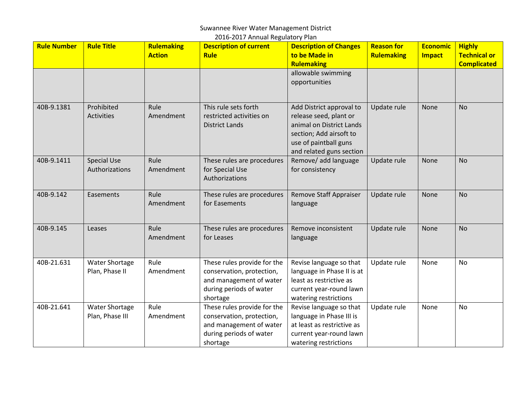#### Suwannee River Water Management District 2016-2017 Annual Regulatory Plan

| <b>Rule Number</b> | <b>Rule Title</b>                       | Rulemaking<br><b>Action</b> | <b>Description of current</b><br><b>Rule</b>                                                                               | <b>Description of Changes</b><br>to be Made in                                                                                                                 | <b>Reason for</b><br><b>Rulemaking</b> | <b>Economic</b><br><b>Impact</b> | <b>Highly</b><br><b>Technical or</b> |
|--------------------|-----------------------------------------|-----------------------------|----------------------------------------------------------------------------------------------------------------------------|----------------------------------------------------------------------------------------------------------------------------------------------------------------|----------------------------------------|----------------------------------|--------------------------------------|
|                    |                                         |                             |                                                                                                                            | <b>Rulemaking</b><br>allowable swimming<br>opportunities                                                                                                       |                                        |                                  | <b>Complicated</b>                   |
| 40B-9.1381         | Prohibited<br><b>Activities</b>         | Rule<br>Amendment           | This rule sets forth<br>restricted activities on<br><b>District Lands</b>                                                  | Add District approval to<br>release seed, plant or<br>animal on District Lands<br>section; Add airsoft to<br>use of paintball guns<br>and related guns section | Update rule                            | None                             | <b>No</b>                            |
| 40B-9.1411         | <b>Special Use</b><br>Authorizations    | Rule<br>Amendment           | These rules are procedures<br>for Special Use<br>Authorizations                                                            | Remove/ add language<br>for consistency                                                                                                                        | Update rule                            | None                             | <b>No</b>                            |
| 40B-9.142          | Easements                               | Rule<br>Amendment           | These rules are procedures<br>for Easements                                                                                | <b>Remove Staff Appraiser</b><br>language                                                                                                                      | Update rule                            | None                             | <b>No</b>                            |
| 40B-9.145          | Leases                                  | Rule<br>Amendment           | These rules are procedures<br>for Leases                                                                                   | Remove inconsistent<br>language                                                                                                                                | Update rule                            | None                             | <b>No</b>                            |
| 40B-21.631         | <b>Water Shortage</b><br>Plan, Phase II | Rule<br>Amendment           | These rules provide for the<br>conservation, protection,<br>and management of water<br>during periods of water<br>shortage | Revise language so that<br>language in Phase II is at<br>least as restrictive as<br>current year-round lawn<br>watering restrictions                           | Update rule                            | None                             | <b>No</b>                            |
| 40B-21.641         | Water Shortage<br>Plan, Phase III       | Rule<br>Amendment           | These rules provide for the<br>conservation, protection,<br>and management of water<br>during periods of water<br>shortage | Revise language so that<br>language in Phase III is<br>at least as restrictive as<br>current year-round lawn<br>watering restrictions                          | Update rule                            | None                             | <b>No</b>                            |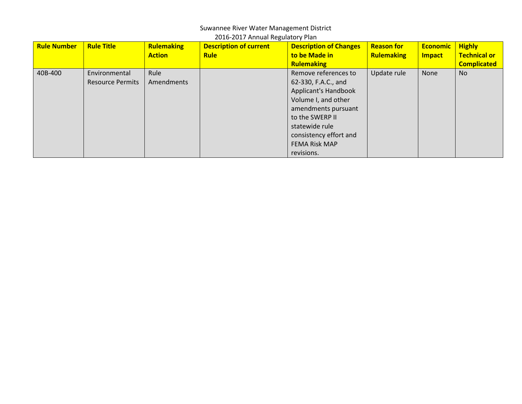#### Suwannee River Water Management District 2016-2017 Annual Regulatory Plan

| <b>Rule Number</b> | <b>Rule Title</b>       | <b>Rulemaking</b> | <b>Description of current</b> | <b>Description of Changes</b> | <b>Reason for</b> | <b>Economic</b> | <b>Highly</b>       |
|--------------------|-------------------------|-------------------|-------------------------------|-------------------------------|-------------------|-----------------|---------------------|
|                    |                         | <b>Action</b>     | <b>Rule</b>                   | to be Made in                 | Rulemaking        | <b>Impact</b>   | <b>Technical or</b> |
|                    |                         |                   |                               | <b>Rulemaking</b>             |                   |                 | <b>Complicated</b>  |
| 40B-400            | Environmental           | Rule              |                               | Remove references to          | Update rule       | None            | <b>No</b>           |
|                    | <b>Resource Permits</b> | Amendments        |                               | 62-330, F.A.C., and           |                   |                 |                     |
|                    |                         |                   |                               | Applicant's Handbook          |                   |                 |                     |
|                    |                         |                   |                               | Volume I, and other           |                   |                 |                     |
|                    |                         |                   |                               | amendments pursuant           |                   |                 |                     |
|                    |                         |                   |                               | to the SWERP II               |                   |                 |                     |
|                    |                         |                   |                               | statewide rule                |                   |                 |                     |
|                    |                         |                   |                               | consistency effort and        |                   |                 |                     |
|                    |                         |                   |                               | <b>FEMA Risk MAP</b>          |                   |                 |                     |
|                    |                         |                   |                               | revisions.                    |                   |                 |                     |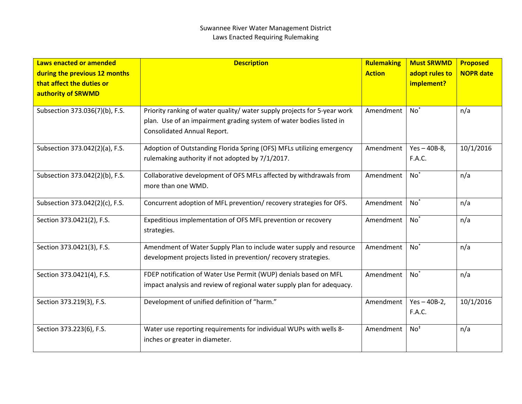| Laws enacted or amended<br>during the previous 12 months<br>that affect the duties or<br>authority of SRWMD | <b>Description</b>                                                                                                                                                                    | Rulemaking<br><b>Action</b> | <b>Must SRWMD</b><br>adopt rules to<br>implement? | <b>Proposed</b><br><b>NOPR date</b> |
|-------------------------------------------------------------------------------------------------------------|---------------------------------------------------------------------------------------------------------------------------------------------------------------------------------------|-----------------------------|---------------------------------------------------|-------------------------------------|
| Subsection 373.036(7)(b), F.S.                                                                              | Priority ranking of water quality/ water supply projects for 5-year work<br>plan. Use of an impairment grading system of water bodies listed in<br><b>Consolidated Annual Report.</b> | Amendment                   | $No^*$                                            | n/a                                 |
| Subsection 373.042(2)(a), F.S.                                                                              | Adoption of Outstanding Florida Spring (OFS) MFLs utilizing emergency<br>rulemaking authority if not adopted by 7/1/2017.                                                             | Amendment                   | $Yes - 40B-8,$<br><b>F.A.C.</b>                   | 10/1/2016                           |
| Subsection 373.042(2)(b), F.S.                                                                              | Collaborative development of OFS MFLs affected by withdrawals from<br>more than one WMD.                                                                                              | Amendment                   | $No*$                                             | n/a                                 |
| Subsection 373.042(2)(c), F.S.                                                                              | Concurrent adoption of MFL prevention/recovery strategies for OFS.                                                                                                                    | Amendment                   | $No^*$                                            | n/a                                 |
| Section 373.0421(2), F.S.                                                                                   | Expeditious implementation of OFS MFL prevention or recovery<br>strategies.                                                                                                           | Amendment                   | $No^*$                                            | n/a                                 |
| Section 373.0421(3), F.S.                                                                                   | Amendment of Water Supply Plan to include water supply and resource<br>development projects listed in prevention/ recovery strategies.                                                | Amendment                   | $No^*$                                            | n/a                                 |
| Section 373.0421(4), F.S.                                                                                   | FDEP notification of Water Use Permit (WUP) denials based on MFL<br>impact analysis and review of regional water supply plan for adequacy.                                            | Amendment                   | $No^*$                                            | n/a                                 |
| Section 373.219(3), F.S.                                                                                    | Development of unified definition of "harm."                                                                                                                                          | Amendment                   | $Yes - 40B-2,$<br><b>F.A.C.</b>                   | 10/1/2016                           |
| Section 373.223(6), F.S.                                                                                    | Water use reporting requirements for individual WUPs with wells 8-<br>inches or greater in diameter.                                                                                  | Amendment                   | $No+$                                             | n/a                                 |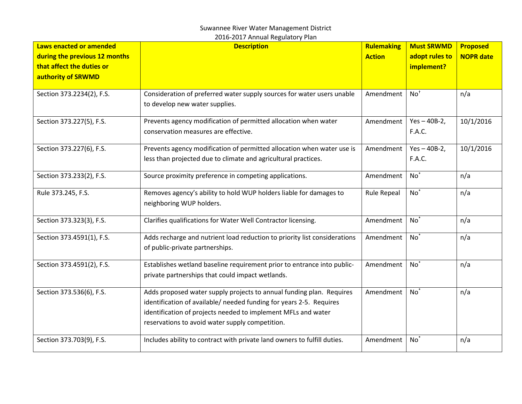| Laws enacted or amended<br>during the previous 12 months<br>that affect the duties or<br>authority of SRWMD | <b>Description</b>                                                                                                                                                                                                                                              | Rulemaking<br><b>Action</b> | <b>Must SRWMD</b><br>adopt rules to<br>implement? | <b>Proposed</b><br><b>NOPR date</b> |
|-------------------------------------------------------------------------------------------------------------|-----------------------------------------------------------------------------------------------------------------------------------------------------------------------------------------------------------------------------------------------------------------|-----------------------------|---------------------------------------------------|-------------------------------------|
| Section 373.2234(2), F.S.                                                                                   | Consideration of preferred water supply sources for water users unable<br>to develop new water supplies.                                                                                                                                                        | Amendment                   | No <sup>†</sup>                                   | n/a                                 |
| Section 373.227(5), F.S.                                                                                    | Prevents agency modification of permitted allocation when water<br>conservation measures are effective.                                                                                                                                                         | Amendment                   | $Yes - 40B-2,$<br><b>F.A.C.</b>                   | 10/1/2016                           |
| Section 373.227(6), F.S.                                                                                    | Prevents agency modification of permitted allocation when water use is<br>less than projected due to climate and agricultural practices.                                                                                                                        | Amendment                   | $Yes - 40B-2,$<br>F.A.C.                          | 10/1/2016                           |
| Section 373.233(2), F.S.                                                                                    | Source proximity preference in competing applications.                                                                                                                                                                                                          | Amendment                   | $No^*$                                            | n/a                                 |
| Rule 373.245, F.S.                                                                                          | Removes agency's ability to hold WUP holders liable for damages to<br>neighboring WUP holders.                                                                                                                                                                  | <b>Rule Repeal</b>          | $No^*$                                            | n/a                                 |
| Section 373.323(3), F.S.                                                                                    | Clarifies qualifications for Water Well Contractor licensing.                                                                                                                                                                                                   | Amendment                   | $No^*$                                            | n/a                                 |
| Section 373.4591(1), F.S.                                                                                   | Adds recharge and nutrient load reduction to priority list considerations<br>of public-private partnerships.                                                                                                                                                    | Amendment                   | $No^*$                                            | n/a                                 |
| Section 373.4591(2), F.S.                                                                                   | Establishes wetland baseline requirement prior to entrance into public-<br>private partnerships that could impact wetlands.                                                                                                                                     | Amendment                   | $No^*$                                            | n/a                                 |
| Section 373.536(6), F.S.                                                                                    | Adds proposed water supply projects to annual funding plan. Requires<br>identification of available/ needed funding for years 2-5. Requires<br>identification of projects needed to implement MFLs and water<br>reservations to avoid water supply competition. | Amendment                   | $No*$                                             | n/a                                 |
| Section 373.703(9), F.S.                                                                                    | Includes ability to contract with private land owners to fulfill duties.                                                                                                                                                                                        | Amendment                   | $No^*$                                            | n/a                                 |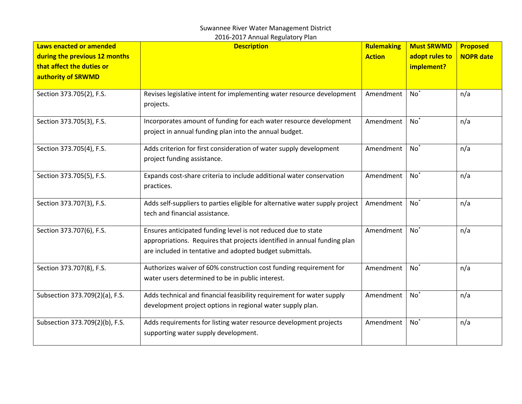| Laws enacted or amended<br>during the previous 12 months<br>that affect the duties or<br>authority of SRWMD | <b>Description</b>                                                                                                                                                                                    | Rulemaking<br><b>Action</b> | <b>Must SRWMD</b><br>adopt rules to<br>implement? | <b>Proposed</b><br><b>NOPR date</b> |
|-------------------------------------------------------------------------------------------------------------|-------------------------------------------------------------------------------------------------------------------------------------------------------------------------------------------------------|-----------------------------|---------------------------------------------------|-------------------------------------|
| Section 373.705(2), F.S.                                                                                    | Revises legislative intent for implementing water resource development<br>projects.                                                                                                                   | Amendment                   | $No^*$                                            | n/a                                 |
| Section 373.705(3), F.S.                                                                                    | Incorporates amount of funding for each water resource development<br>project in annual funding plan into the annual budget.                                                                          | Amendment                   | $No^*$                                            | n/a                                 |
| Section 373.705(4), F.S.                                                                                    | Adds criterion for first consideration of water supply development<br>project funding assistance.                                                                                                     | Amendment                   | $No^*$                                            | n/a                                 |
| Section 373.705(5), F.S.                                                                                    | Expands cost-share criteria to include additional water conservation<br>practices.                                                                                                                    | Amendment                   | $No^*$                                            | n/a                                 |
| Section 373.707(3), F.S.                                                                                    | Adds self-suppliers to parties eligible for alternative water supply project<br>tech and financial assistance.                                                                                        | Amendment                   | $No^*$                                            | n/a                                 |
| Section 373.707(6), F.S.                                                                                    | Ensures anticipated funding level is not reduced due to state<br>appropriations. Requires that projects identified in annual funding plan<br>are included in tentative and adopted budget submittals. | Amendment                   | $No^*$                                            | n/a                                 |
| Section 373.707(8), F.S.                                                                                    | Authorizes waiver of 60% construction cost funding requirement for<br>water users determined to be in public interest.                                                                                | Amendment                   | $No^*$                                            | n/a                                 |
| Subsection 373.709(2)(a), F.S.                                                                              | Adds technical and financial feasibility requirement for water supply<br>development project options in regional water supply plan.                                                                   | Amendment                   | $No^*$                                            | n/a                                 |
| Subsection 373.709(2)(b), F.S.                                                                              | Adds requirements for listing water resource development projects<br>supporting water supply development.                                                                                             | Amendment                   | $No^*$                                            | n/a                                 |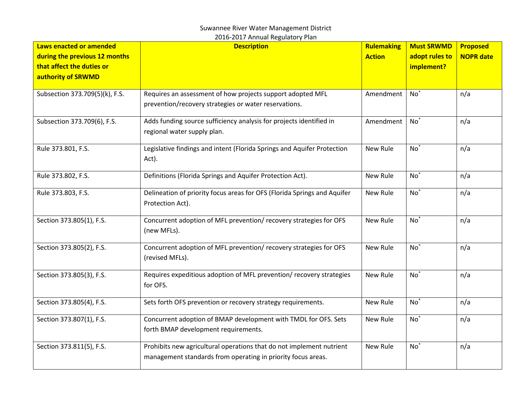| Laws enacted or amended<br>during the previous 12 months<br>that affect the duties or<br>authority of SRWMD | <b>Description</b>                                                                                                                   | Rulemaking<br><b>Action</b> | <b>Must SRWMD</b><br>adopt rules to<br>implement? | <b>Proposed</b><br><b>NOPR date</b> |
|-------------------------------------------------------------------------------------------------------------|--------------------------------------------------------------------------------------------------------------------------------------|-----------------------------|---------------------------------------------------|-------------------------------------|
| Subsection 373.709(5)(k), F.S.                                                                              | Requires an assessment of how projects support adopted MFL<br>prevention/recovery strategies or water reservations.                  | Amendment                   | $No^*$                                            | n/a                                 |
| Subsection 373.709(6), F.S.                                                                                 | Adds funding source sufficiency analysis for projects identified in<br>regional water supply plan.                                   | Amendment                   | $No*$                                             | n/a                                 |
| Rule 373.801, F.S.                                                                                          | Legislative findings and intent (Florida Springs and Aquifer Protection<br>Act).                                                     | <b>New Rule</b>             | $No*$                                             | n/a                                 |
| Rule 373.802, F.S.                                                                                          | Definitions (Florida Springs and Aquifer Protection Act).                                                                            | New Rule                    | $No^*$                                            | n/a                                 |
| Rule 373.803, F.S.                                                                                          | Delineation of priority focus areas for OFS (Florida Springs and Aquifer<br>Protection Act).                                         | New Rule                    | $No*$                                             | n/a                                 |
| Section 373.805(1), F.S.                                                                                    | Concurrent adoption of MFL prevention/ recovery strategies for OFS<br>(new MFLs).                                                    | New Rule                    | $No*$                                             | n/a                                 |
| Section 373.805(2), F.S.                                                                                    | Concurrent adoption of MFL prevention/recovery strategies for OFS<br>(revised MFLs).                                                 | New Rule                    | $No^*$                                            | n/a                                 |
| Section 373.805(3), F.S.                                                                                    | Requires expeditious adoption of MFL prevention/recovery strategies<br>for OFS.                                                      | New Rule                    | $No*$                                             | n/a                                 |
| Section 373.805(4), F.S.                                                                                    | Sets forth OFS prevention or recovery strategy requirements.                                                                         | <b>New Rule</b>             | $No^*$                                            | n/a                                 |
| Section 373.807(1), F.S.                                                                                    | Concurrent adoption of BMAP development with TMDL for OFS. Sets<br>forth BMAP development requirements.                              | New Rule                    | $No*$                                             | n/a                                 |
| Section 373.811(5), F.S.                                                                                    | Prohibits new agricultural operations that do not implement nutrient<br>management standards from operating in priority focus areas. | New Rule                    | $No^*$                                            | n/a                                 |